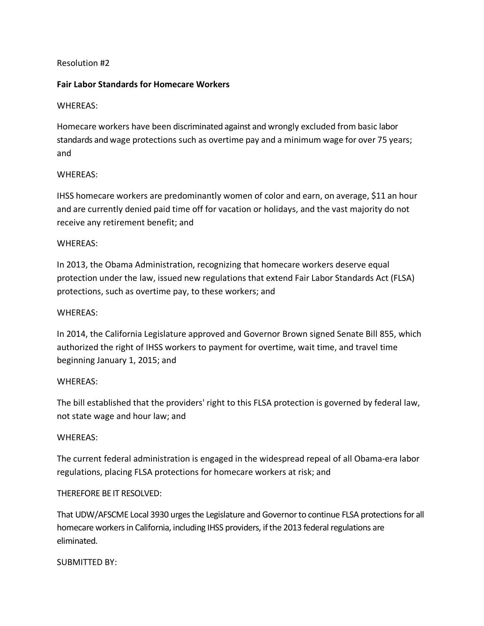# Resolution #2

### **Fair Labor Standards for Homecare Workers**

### WHEREAS:

Homecare workers have been discriminated against and wrongly excluded from basic labor standards and wage protections such as overtime pay and a minimum wage for over 75 years; and

# WHEREAS:

IHSS homecare workers are predominantly women of color and earn, on average, \$11 an hour and are currently denied paid time off for vacation or holidays, and the vast majority do not receive any retirement benefit; and

### WHEREAS:

In 2013, the Obama Administration, recognizing that homecare workers deserve equal protection under the law, issued new regulations that extend Fair Labor Standards Act (FLSA) protections, such as overtime pay, to these workers; and

### WHEREAS:

In 2014, the California Legislature approved and Governor Brown signed Senate Bill 855, which authorized the right of IHSS workers to payment for overtime, wait time, and travel time beginning January 1, 2015; and

#### WHEREAS:

The bill established that the providers' right to this FLSA protection is governed by federal law, not state wage and hour law; and

# WHEREAS:

The current federal administration is engaged in the widespread repeal of all Obama-era labor regulations, placing FLSA protections for homecare workers at risk; and

# THEREFORE BE IT RESOLVED:

That UDW/AFSCME Local 3930 urges the Legislature and Governorto continue FLSA protections for all homecare workers in California, including IHSS providers, if the 2013 federal regulations are eliminated.

#### SUBMITTED BY: